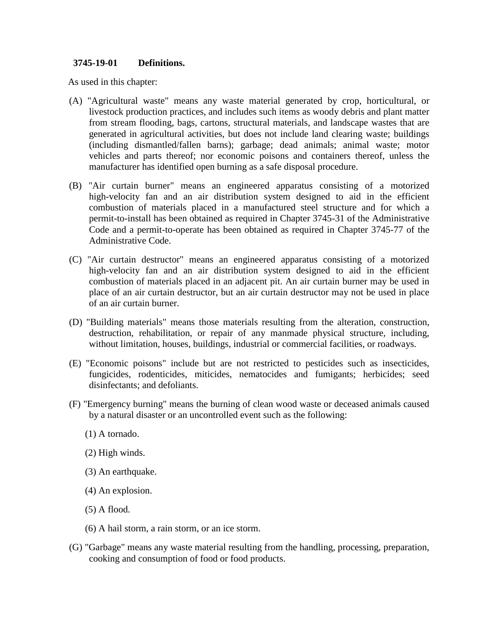### **3745-19-01 Definitions.**

As used in this chapter:

- (A) "Agricultural waste" means any waste material generated by crop, horticultural, or livestock production practices, and includes such items as woody debris and plant matter from stream flooding, bags, cartons, structural materials, and landscape wastes that are generated in agricultural activities, but does not include land clearing waste; buildings (including dismantled/fallen barns); garbage; dead animals; animal waste; motor vehicles and parts thereof; nor economic poisons and containers thereof, unless the manufacturer has identified open burning as a safe disposal procedure.
- (B) "Air curtain burner" means an engineered apparatus consisting of a motorized high-velocity fan and an air distribution system designed to aid in the efficient combustion of materials placed in a manufactured steel structure and for which a permit-to-install has been obtained as required in Chapter 3745-31 of the Administrative Code and a permit-to-operate has been obtained as required in Chapter 3745-77 of the Administrative Code.
- (C) "Air curtain destructor" means an engineered apparatus consisting of a motorized high-velocity fan and an air distribution system designed to aid in the efficient combustion of materials placed in an adjacent pit. An air curtain burner may be used in place of an air curtain destructor, but an air curtain destructor may not be used in place of an air curtain burner.
- (D) "Building materials" means those materials resulting from the alteration, construction, destruction, rehabilitation, or repair of any manmade physical structure, including, without limitation, houses, buildings, industrial or commercial facilities, or roadways.
- (E) "Economic poisons" include but are not restricted to pesticides such as insecticides, fungicides, rodenticides, miticides, nematocides and fumigants; herbicides; seed disinfectants; and defoliants.
- (F) "Emergency burning" means the burning of clean wood waste or deceased animals caused by a natural disaster or an uncontrolled event such as the following:
	- (1) A tornado.
	- (2) High winds.
	- (3) An earthquake.
	- (4) An explosion.
	- (5) A flood.
	- (6) A hail storm, a rain storm, or an ice storm.
- (G) "Garbage" means any waste material resulting from the handling, processing, preparation, cooking and consumption of food or food products.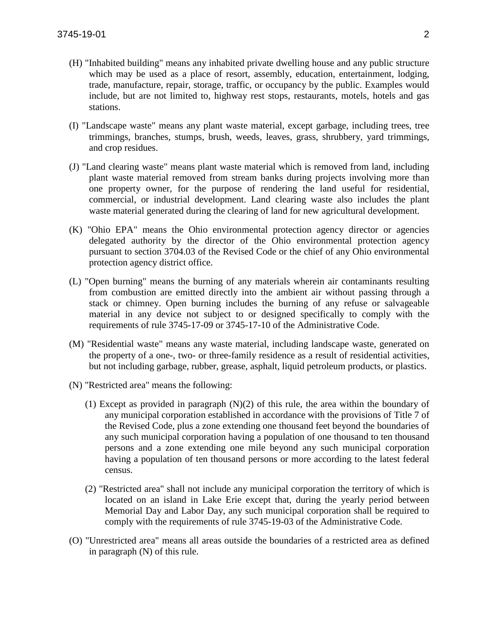- (H) "Inhabited building" means any inhabited private dwelling house and any public structure which may be used as a place of resort, assembly, education, entertainment, lodging, trade, manufacture, repair, storage, traffic, or occupancy by the public. Examples would include, but are not limited to, highway rest stops, restaurants, motels, hotels and gas stations.
- (I) "Landscape waste" means any plant waste material, except garbage, including trees, tree trimmings, branches, stumps, brush, weeds, leaves, grass, shrubbery, yard trimmings, and crop residues.
- (J) "Land clearing waste" means plant waste material which is removed from land, including plant waste material removed from stream banks during projects involving more than one property owner, for the purpose of rendering the land useful for residential, commercial, or industrial development. Land clearing waste also includes the plant waste material generated during the clearing of land for new agricultural development.
- (K) "Ohio EPA" means the Ohio environmental protection agency director or agencies delegated authority by the director of the Ohio environmental protection agency pursuant to section 3704.03 of the Revised Code or the chief of any Ohio environmental protection agency district office.
- (L) "Open burning" means the burning of any materials wherein air contaminants resulting from combustion are emitted directly into the ambient air without passing through a stack or chimney. Open burning includes the burning of any refuse or salvageable material in any device not subject to or designed specifically to comply with the requirements of rule 3745-17-09 or 3745-17-10 of the Administrative Code.
- (M) "Residential waste" means any waste material, including landscape waste, generated on the property of a one-, two- or three-family residence as a result of residential activities, but not including garbage, rubber, grease, asphalt, liquid petroleum products, or plastics.
- (N) "Restricted area" means the following:
	- (1) Except as provided in paragraph (N)(2) of this rule, the area within the boundary of any municipal corporation established in accordance with the provisions of Title 7 of the Revised Code, plus a zone extending one thousand feet beyond the boundaries of any such municipal corporation having a population of one thousand to ten thousand persons and a zone extending one mile beyond any such municipal corporation having a population of ten thousand persons or more according to the latest federal census.
	- (2) "Restricted area" shall not include any municipal corporation the territory of which is located on an island in Lake Erie except that, during the yearly period between Memorial Day and Labor Day, any such municipal corporation shall be required to comply with the requirements of rule 3745-19-03 of the Administrative Code.
- (O) "Unrestricted area" means all areas outside the boundaries of a restricted area as defined in paragraph (N) of this rule.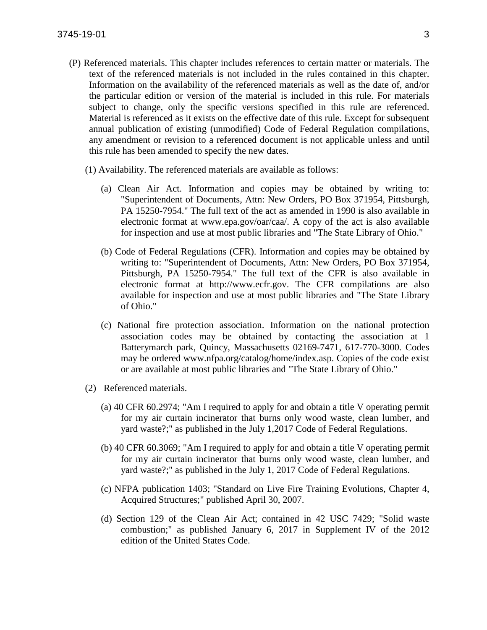- (P) Referenced materials. This chapter includes references to certain matter or materials. The text of the referenced materials is not included in the rules contained in this chapter. Information on the availability of the referenced materials as well as the date of, and/or the particular edition or version of the material is included in this rule. For materials subject to change, only the specific versions specified in this rule are referenced. Material is referenced as it exists on the effective date of this rule. Except for subsequent annual publication of existing (unmodified) Code of Federal Regulation compilations, any amendment or revision to a referenced document is not applicable unless and until this rule has been amended to specify the new dates.
	- (1) Availability. The referenced materials are available as follows:
		- (a) Clean Air Act. Information and copies may be obtained by writing to: "Superintendent of Documents, Attn: New Orders, PO Box 371954, Pittsburgh, PA 15250-7954." The full text of the act as amended in 1990 is also available in electronic format at www.epa.gov/oar/caa/. A copy of the act is also available for inspection and use at most public libraries and "The State Library of Ohio."
		- (b) Code of Federal Regulations (CFR). Information and copies may be obtained by writing to: "Superintendent of Documents, Attn: New Orders, PO Box 371954, Pittsburgh, PA 15250-7954." The full text of the CFR is also available in electronic format at http://www.ecfr.gov. The CFR compilations are also available for inspection and use at most public libraries and "The State Library of Ohio."
		- (c) National fire protection association. Information on the national protection association codes may be obtained by contacting the association at 1 Batterymarch park, Quincy, Massachusetts 02169-7471, 617-770-3000. Codes may be ordered www.nfpa.org/catalog/home/index.asp. Copies of the code exist or are available at most public libraries and "The State Library of Ohio."
	- (2) Referenced materials.
		- (a) 40 CFR 60.2974; "Am I required to apply for and obtain a title V operating permit for my air curtain incinerator that burns only wood waste, clean lumber, and yard waste?;" as published in the July 1,2017 Code of Federal Regulations.
		- (b) 40 CFR 60.3069; "Am I required to apply for and obtain a title V operating permit for my air curtain incinerator that burns only wood waste, clean lumber, and yard waste?;" as published in the July 1, 2017 Code of Federal Regulations.
		- (c) NFPA publication 1403; "Standard on Live Fire Training Evolutions, Chapter 4, Acquired Structures;" published April 30, 2007.
		- (d) Section 129 of the Clean Air Act; contained in 42 USC 7429; "Solid waste combustion;" as published January 6, 2017 in Supplement IV of the 2012 edition of the United States Code.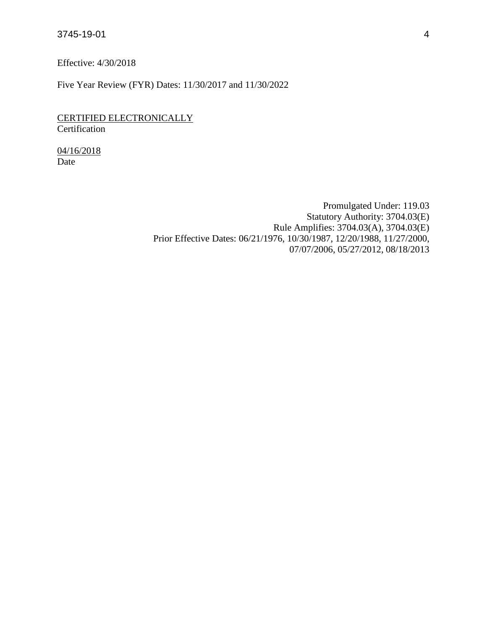Effective: 4/30/2018

Five Year Review (FYR) Dates: 11/30/2017 and 11/30/2022

CERTIFIED ELECTRONICALLY **Certification** 

04/16/2018 Date

> Promulgated Under: 119.03 Statutory Authority: 3704.03(E) Rule Amplifies: 3704.03(A), 3704.03(E) Prior Effective Dates: 06/21/1976, 10/30/1987, 12/20/1988, 11/27/2000, 07/07/2006, 05/27/2012, 08/18/2013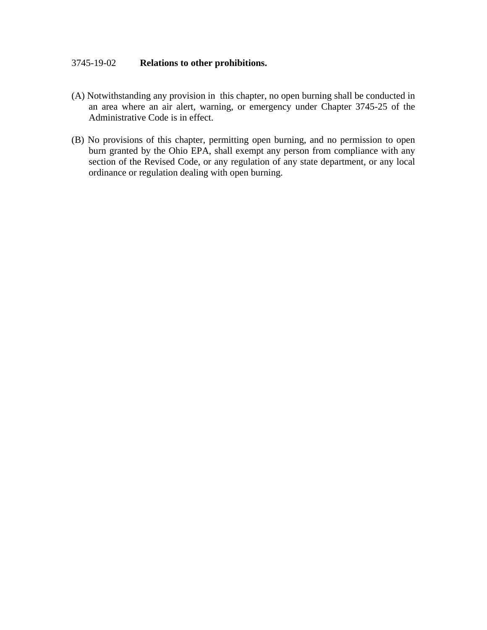### 3745-19-02 **Relations to other prohibitions.**

- (A) Notwithstanding any provision in this chapter, no open burning shall be conducted in an area where an air alert, warning, or emergency under Chapter 3745-25 of the Administrative Code is in effect.
- (B) No provisions of this chapter, permitting open burning, and no permission to open burn granted by the Ohio EPA, shall exempt any person from compliance with any section of the Revised Code, or any regulation of any state department, or any local ordinance or regulation dealing with open burning.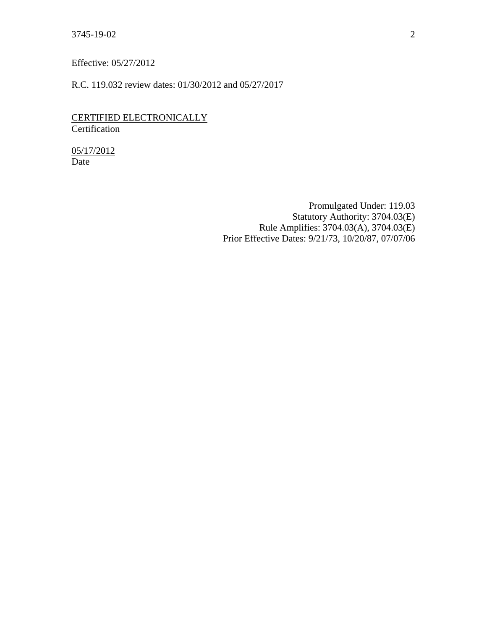Effective: 05/27/2012

R.C. 119.032 review dates: 01/30/2012 and 05/27/2017

CERTIFIED ELECTRONICALLY Certification

05/17/2012 Date

> Promulgated Under: 119.03 Statutory Authority: 3704.03(E) Rule Amplifies: 3704.03(A), 3704.03(E) Prior Effective Dates: 9/21/73, 10/20/87, 07/07/06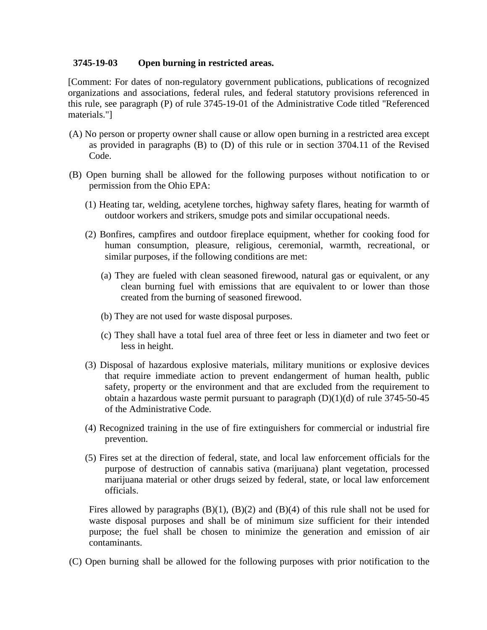### **3745-19-03 Open burning in restricted areas.**

[Comment: For dates of non-regulatory government publications, publications of recognized organizations and associations, federal rules, and federal statutory provisions referenced in this rule, see paragraph (P) of rule 3745-19-01 of the Administrative Code titled "Referenced materials."]

- (A) No person or property owner shall cause or allow open burning in a restricted area except as provided in paragraphs (B) to (D) of this rule or in section 3704.11 of the Revised Code.
- (B) Open burning shall be allowed for the following purposes without notification to or permission from the Ohio EPA:
	- (1) Heating tar, welding, acetylene torches, highway safety flares, heating for warmth of outdoor workers and strikers, smudge pots and similar occupational needs.
	- (2) Bonfires, campfires and outdoor fireplace equipment, whether for cooking food for human consumption, pleasure, religious, ceremonial, warmth, recreational, or similar purposes, if the following conditions are met:
		- (a) They are fueled with clean seasoned firewood, natural gas or equivalent, or any clean burning fuel with emissions that are equivalent to or lower than those created from the burning of seasoned firewood.
		- (b) They are not used for waste disposal purposes.
		- (c) They shall have a total fuel area of three feet or less in diameter and two feet or less in height.
	- (3) Disposal of hazardous explosive materials, military munitions or explosive devices that require immediate action to prevent endangerment of human health, public safety, property or the environment and that are excluded from the requirement to obtain a hazardous waste permit pursuant to paragraph  $(D)(1)(d)$  of rule 3745-50-45 of the Administrative Code.
	- (4) Recognized training in the use of fire extinguishers for commercial or industrial fire prevention.
	- (5) Fires set at the direction of federal, state, and local law enforcement officials for the purpose of destruction of cannabis sativa (marijuana) plant vegetation, processed marijuana material or other drugs seized by federal, state, or local law enforcement officials.

Fires allowed by paragraphs  $(B)(1)$ ,  $(B)(2)$  and  $(B)(4)$  of this rule shall not be used for waste disposal purposes and shall be of minimum size sufficient for their intended purpose; the fuel shall be chosen to minimize the generation and emission of air contaminants.

(C) Open burning shall be allowed for the following purposes with prior notification to the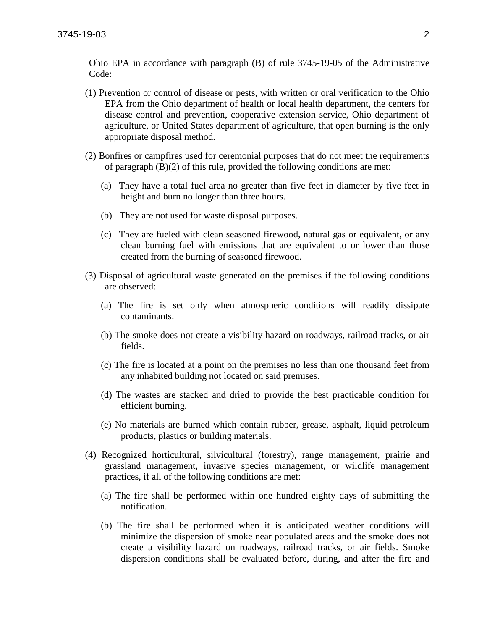Ohio EPA in accordance with paragraph (B) of rule 3745-19-05 of the Administrative Code:

- (1) Prevention or control of disease or pests, with written or oral verification to the Ohio EPA from the Ohio department of health or local health department, the centers for disease control and prevention, cooperative extension service, Ohio department of agriculture, or United States department of agriculture, that open burning is the only appropriate disposal method.
- (2) Bonfires or campfires used for ceremonial purposes that do not meet the requirements of paragraph (B)(2) of this rule, provided the following conditions are met:
	- (a) They have a total fuel area no greater than five feet in diameter by five feet in height and burn no longer than three hours.
	- (b) They are not used for waste disposal purposes.
	- (c) They are fueled with clean seasoned firewood, natural gas or equivalent, or any clean burning fuel with emissions that are equivalent to or lower than those created from the burning of seasoned firewood.
- (3) Disposal of agricultural waste generated on the premises if the following conditions are observed:
	- (a) The fire is set only when atmospheric conditions will readily dissipate contaminants.
	- (b) The smoke does not create a visibility hazard on roadways, railroad tracks, or air fields.
	- (c) The fire is located at a point on the premises no less than one thousand feet from any inhabited building not located on said premises.
	- (d) The wastes are stacked and dried to provide the best practicable condition for efficient burning.
	- (e) No materials are burned which contain rubber, grease, asphalt, liquid petroleum products, plastics or building materials.
- (4) Recognized horticultural, silvicultural (forestry), range management, prairie and grassland management, invasive species management, or wildlife management practices, if all of the following conditions are met:
	- (a) The fire shall be performed within one hundred eighty days of submitting the notification.
	- (b) The fire shall be performed when it is anticipated weather conditions will minimize the dispersion of smoke near populated areas and the smoke does not create a visibility hazard on roadways, railroad tracks, or air fields. Smoke dispersion conditions shall be evaluated before, during, and after the fire and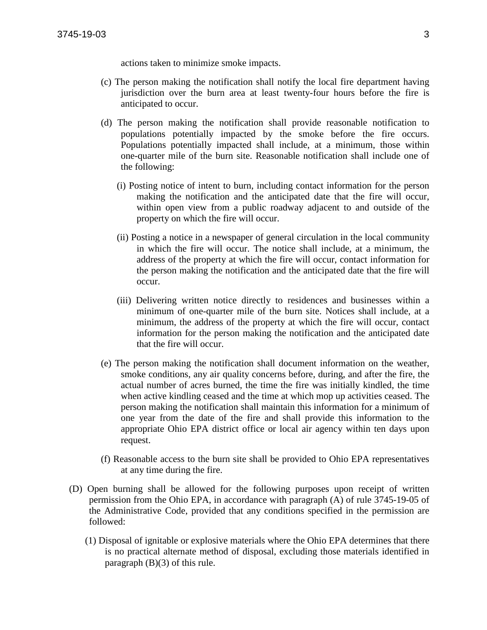actions taken to minimize smoke impacts.

- (c) The person making the notification shall notify the local fire department having jurisdiction over the burn area at least twenty-four hours before the fire is anticipated to occur.
- (d) The person making the notification shall provide reasonable notification to populations potentially impacted by the smoke before the fire occurs. Populations potentially impacted shall include, at a minimum, those within one-quarter mile of the burn site. Reasonable notification shall include one of the following:
	- (i) Posting notice of intent to burn, including contact information for the person making the notification and the anticipated date that the fire will occur, within open view from a public roadway adjacent to and outside of the property on which the fire will occur.
	- (ii) Posting a notice in a newspaper of general circulation in the local community in which the fire will occur. The notice shall include, at a minimum, the address of the property at which the fire will occur, contact information for the person making the notification and the anticipated date that the fire will occur.
	- (iii) Delivering written notice directly to residences and businesses within a minimum of one-quarter mile of the burn site. Notices shall include, at a minimum, the address of the property at which the fire will occur, contact information for the person making the notification and the anticipated date that the fire will occur.
- (e) The person making the notification shall document information on the weather, smoke conditions, any air quality concerns before, during, and after the fire, the actual number of acres burned, the time the fire was initially kindled, the time when active kindling ceased and the time at which mop up activities ceased. The person making the notification shall maintain this information for a minimum of one year from the date of the fire and shall provide this information to the appropriate Ohio EPA district office or local air agency within ten days upon request.
- (f) Reasonable access to the burn site shall be provided to Ohio EPA representatives at any time during the fire.
- (D) Open burning shall be allowed for the following purposes upon receipt of written permission from the Ohio EPA, in accordance with paragraph (A) of rule 3745-19-05 of the Administrative Code, provided that any conditions specified in the permission are followed:
	- (1) Disposal of ignitable or explosive materials where the Ohio EPA determines that there is no practical alternate method of disposal, excluding those materials identified in paragraph (B)(3) of this rule.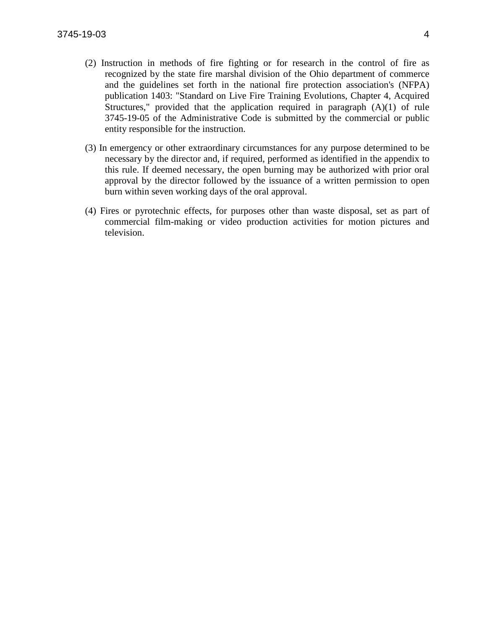- (2) Instruction in methods of fire fighting or for research in the control of fire as recognized by the state fire marshal division of the Ohio department of commerce and the guidelines set forth in the national fire protection association's (NFPA) publication 1403: "Standard on Live Fire Training Evolutions, Chapter 4, Acquired Structures," provided that the application required in paragraph (A)(1) of rule 3745-19-05 of the Administrative Code is submitted by the commercial or public entity responsible for the instruction.
- (3) In emergency or other extraordinary circumstances for any purpose determined to be necessary by the director and, if required, performed as identified in the appendix to this rule. If deemed necessary, the open burning may be authorized with prior oral approval by the director followed by the issuance of a written permission to open burn within seven working days of the oral approval.
- (4) Fires or pyrotechnic effects, for purposes other than waste disposal, set as part of commercial film-making or video production activities for motion pictures and television.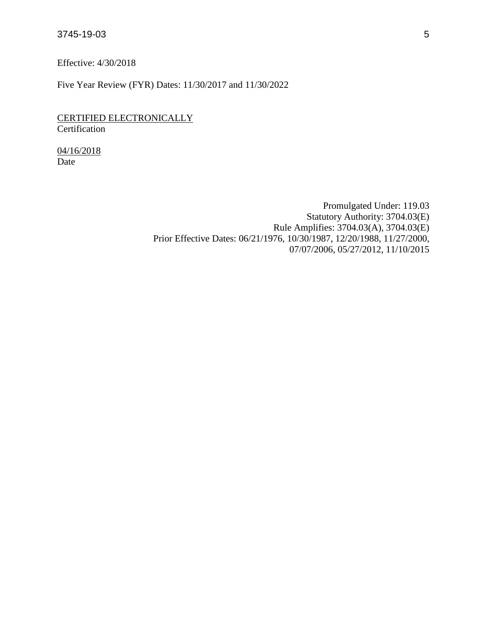Effective: 4/30/2018

Five Year Review (FYR) Dates: 11/30/2017 and 11/30/2022

CERTIFIED ELECTRONICALLY **Certification** 

04/16/2018 Date

> Promulgated Under: 119.03 Statutory Authority: 3704.03(E) Rule Amplifies: 3704.03(A), 3704.03(E) Prior Effective Dates: 06/21/1976, 10/30/1987, 12/20/1988, 11/27/2000, 07/07/2006, 05/27/2012, 11/10/2015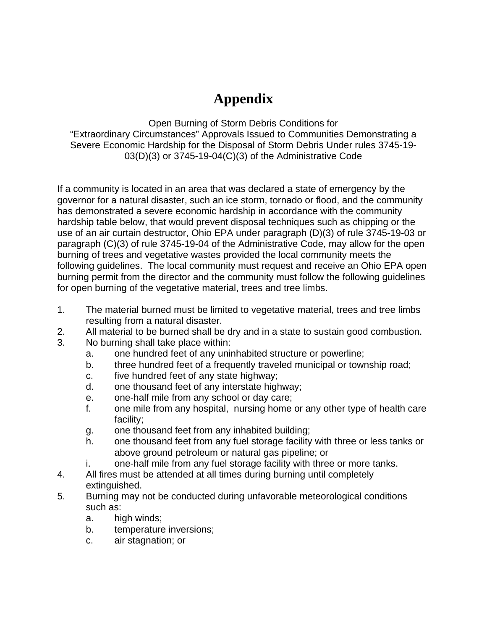# **Appendix**

Open Burning of Storm Debris Conditions for "Extraordinary Circumstances" Approvals Issued to Communities Demonstrating a Severe Economic Hardship for the Disposal of Storm Debris Under rules 3745-19-  $03(D)(3)$  or  $3745-19-04(C)(3)$  of the Administrative Code

If a community is located in an area that was declared a state of emergency by the governor for a natural disaster, such an ice storm, tornado or flood, and the community has demonstrated a severe economic hardship in accordance with the community hardship table below, that would prevent disposal techniques such as chipping or the use of an air curtain destructor, Ohio EPA under paragraph (D)(3) of rule 3745-19-03 or paragraph (C)(3) of rule 3745-19-04 of the Administrative Code, may allow for the open burning of trees and vegetative wastes provided the local community meets the following guidelines. The local community must request and receive an Ohio EPA open burning permit from the director and the community must follow the following guidelines for open burning of the vegetative material, trees and tree limbs.

- 1. The material burned must be limited to vegetative material, trees and tree limbs resulting from a natural disaster.
- 2. All material to be burned shall be dry and in a state to sustain good combustion.
- 3. No burning shall take place within:
	- a. one hundred feet of any uninhabited structure or powerline;
	- b. three hundred feet of a frequently traveled municipal or township road;
	- c. five hundred feet of any state highway;
	- d. one thousand feet of any interstate highway;
	- e. one-half mile from any school or day care;
	- f. one mile from any hospital, nursing home or any other type of health care facility;
	- g. one thousand feet from any inhabited building;
	- h. one thousand feet from any fuel storage facility with three or less tanks or above ground petroleum or natural gas pipeline; or
	- i. one-half mile from any fuel storage facility with three or more tanks.
- 4. All fires must be attended at all times during burning until completely extinguished.
- 5. Burning may not be conducted during unfavorable meteorological conditions such as:
	- a. high winds;
	- b. temperature inversions;
	- c. air stagnation; or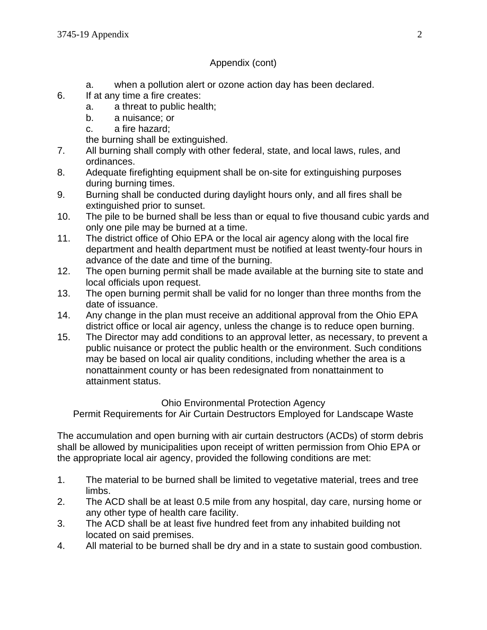### Appendix (cont)

- a. when a pollution alert or ozone action day has been declared.
- 6. If at any time a fire creates:
	- a. a threat to public health;
	- b. a nuisance; or
	- c. a fire hazard;
	- the burning shall be extinguished.
- 7. All burning shall comply with other federal, state, and local laws, rules, and ordinances.
- 8. Adequate firefighting equipment shall be on-site for extinguishing purposes during burning times.
- 9. Burning shall be conducted during daylight hours only, and all fires shall be extinguished prior to sunset.
- 10. The pile to be burned shall be less than or equal to five thousand cubic yards and only one pile may be burned at a time.
- 11. The district office of Ohio EPA or the local air agency along with the local fire department and health department must be notified at least twenty-four hours in advance of the date and time of the burning.
- 12. The open burning permit shall be made available at the burning site to state and local officials upon request.
- 13. The open burning permit shall be valid for no longer than three months from the date of issuance.
- 14. Any change in the plan must receive an additional approval from the Ohio EPA district office or local air agency, unless the change is to reduce open burning.
- 15. The Director may add conditions to an approval letter, as necessary, to prevent a public nuisance or protect the public health or the environment. Such conditions may be based on local air quality conditions, including whether the area is a nonattainment county or has been redesignated from nonattainment to attainment status.

## Ohio Environmental Protection Agency

Permit Requirements for Air Curtain Destructors Employed for Landscape Waste

The accumulation and open burning with air curtain destructors (ACDs) of storm debris shall be allowed by municipalities upon receipt of written permission from Ohio EPA or the appropriate local air agency, provided the following conditions are met:

- 1. The material to be burned shall be limited to vegetative material, trees and tree limbs.
- 2. The ACD shall be at least 0.5 mile from any hospital, day care, nursing home or any other type of health care facility.
- 3. The ACD shall be at least five hundred feet from any inhabited building not located on said premises.
- 4. All material to be burned shall be dry and in a state to sustain good combustion.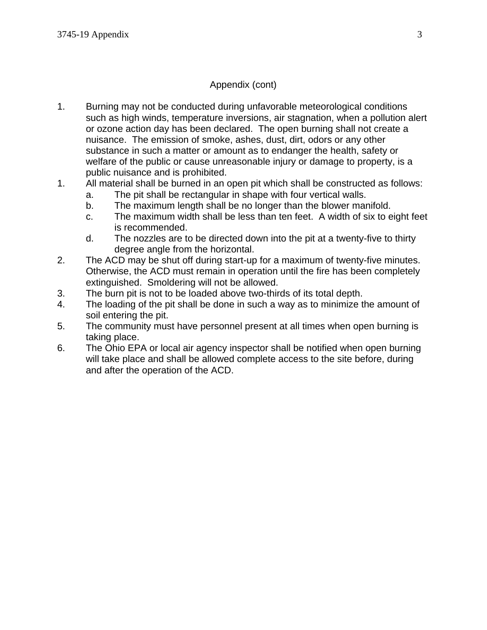## Appendix (cont)

- 1. Burning may not be conducted during unfavorable meteorological conditions such as high winds, temperature inversions, air stagnation, when a pollution alert or ozone action day has been declared. The open burning shall not create a nuisance. The emission of smoke, ashes, dust, dirt, odors or any other substance in such a matter or amount as to endanger the health, safety or welfare of the public or cause unreasonable injury or damage to property, is a public nuisance and is prohibited.
- 1. All material shall be burned in an open pit which shall be constructed as follows:
	- a. The pit shall be rectangular in shape with four vertical walls.
	- b. The maximum length shall be no longer than the blower manifold.
	- c. The maximum width shall be less than ten feet. A width of six to eight feet is recommended.
	- d. The nozzles are to be directed down into the pit at a twenty-five to thirty degree angle from the horizontal.
- 2. The ACD may be shut off during start-up for a maximum of twenty-five minutes. Otherwise, the ACD must remain in operation until the fire has been completely extinguished. Smoldering will not be allowed.
- 3. The burn pit is not to be loaded above two-thirds of its total depth.
- 4. The loading of the pit shall be done in such a way as to minimize the amount of soil entering the pit.
- 5. The community must have personnel present at all times when open burning is taking place.
- 6. The Ohio EPA or local air agency inspector shall be notified when open burning will take place and shall be allowed complete access to the site before, during and after the operation of the ACD.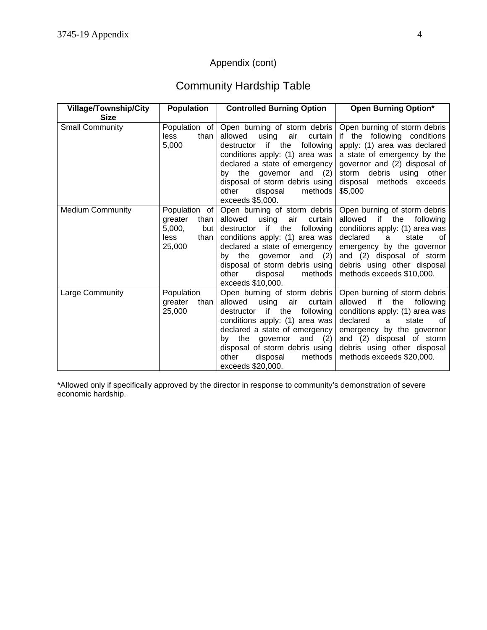# Appendix (cont)

# Community Hardship Table

| <b>Village/Township/City</b><br><b>Size</b> | <b>Population</b>                                                             | <b>Controlled Burning Option</b>                                                                                                                                                                                                                                                                             | <b>Open Burning Option*</b>                                                                                                                                                                                                                               |
|---------------------------------------------|-------------------------------------------------------------------------------|--------------------------------------------------------------------------------------------------------------------------------------------------------------------------------------------------------------------------------------------------------------------------------------------------------------|-----------------------------------------------------------------------------------------------------------------------------------------------------------------------------------------------------------------------------------------------------------|
| <b>Small Community</b>                      | Population of<br>than<br><b>less</b><br>5,000                                 | Open burning of storm debris<br>allowed<br>using<br>air<br>curtain<br>if<br>the<br>following<br>destructor<br>conditions apply: (1) area was<br>declared a state of emergency<br>by the governor and<br>(2)<br>disposal of storm debris using<br>other<br>disposal<br>methods<br>exceeds \$5,000.            | Open burning of storm debris<br>if the following conditions<br>apply: (1) area was declared<br>a state of emergency by the<br>governor and (2) disposal of<br>storm debris using other<br>methods exceeds<br>disposal<br>\$5,000                          |
| <b>Medium Community</b>                     | Population of<br>greater<br>than<br>5,000,<br>but  <br>less<br>than<br>25,000 | Open burning of storm debris<br>allowed<br>using<br>air<br>curtain<br>if<br>the<br>destructor<br>following<br>conditions apply: (1) area was<br>declared a state of emergency<br>by the governor and (2)<br>disposal of storm debris using<br>methods<br>other<br>disposal<br>exceeds \$10,000.              | Open burning of storm debris<br>if<br>allowed<br>following<br>the<br>conditions apply: (1) area was<br>declared<br>οf<br>state<br>a<br>emergency by the governor<br>and (2) disposal of storm<br>debris using other disposal<br>methods exceeds \$10,000. |
| Large Community                             | Population<br>greater<br>than<br>25,000                                       | Open burning of storm debris<br>allowed<br>using<br>air<br>curtain<br>if.<br>the<br>destructor<br>following<br>conditions apply: (1) area was<br>declared a state of emergency<br>and<br>the<br>governor<br>(2)<br>bv<br>disposal of storm debris using<br>methods<br>other<br>disposal<br>exceeds \$20,000. | Open burning of storm debris<br>if<br>allowed<br>the<br>following<br>conditions apply: (1) area was<br>declared<br>state<br>οf<br>a<br>emergency by the governor<br>and (2) disposal of storm<br>debris using other disposal<br>methods exceeds \$20,000. |

\*Allowed only if specifically approved by the director in response to community's demonstration of severe economic hardship.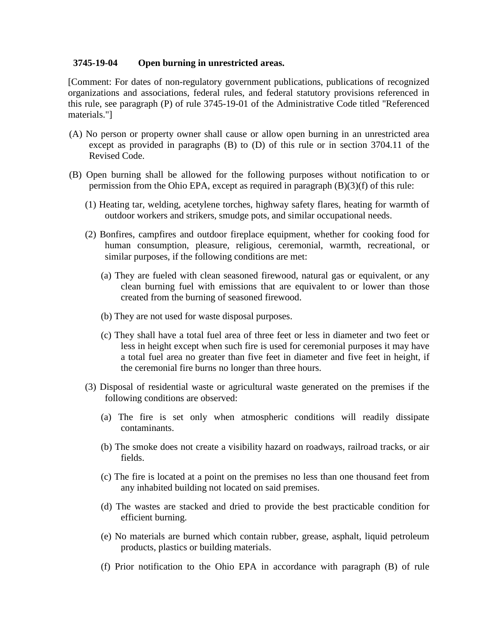### **3745-19-04 Open burning in unrestricted areas.**

[Comment: For dates of non-regulatory government publications, publications of recognized organizations and associations, federal rules, and federal statutory provisions referenced in this rule, see paragraph (P) of rule 3745-19-01 of the Administrative Code titled "Referenced materials."]

- (A) No person or property owner shall cause or allow open burning in an unrestricted area except as provided in paragraphs (B) to (D) of this rule or in section 3704.11 of the Revised Code.
- (B) Open burning shall be allowed for the following purposes without notification to or permission from the Ohio EPA, except as required in paragraph  $(B)(3)(f)$  of this rule:
	- (1) Heating tar, welding, acetylene torches, highway safety flares, heating for warmth of outdoor workers and strikers, smudge pots, and similar occupational needs.
	- (2) Bonfires, campfires and outdoor fireplace equipment, whether for cooking food for human consumption, pleasure, religious, ceremonial, warmth, recreational, or similar purposes, if the following conditions are met:
		- (a) They are fueled with clean seasoned firewood, natural gas or equivalent, or any clean burning fuel with emissions that are equivalent to or lower than those created from the burning of seasoned firewood.
		- (b) They are not used for waste disposal purposes.
		- (c) They shall have a total fuel area of three feet or less in diameter and two feet or less in height except when such fire is used for ceremonial purposes it may have a total fuel area no greater than five feet in diameter and five feet in height, if the ceremonial fire burns no longer than three hours.
	- (3) Disposal of residential waste or agricultural waste generated on the premises if the following conditions are observed:
		- (a) The fire is set only when atmospheric conditions will readily dissipate contaminants.
		- (b) The smoke does not create a visibility hazard on roadways, railroad tracks, or air fields.
		- (c) The fire is located at a point on the premises no less than one thousand feet from any inhabited building not located on said premises.
		- (d) The wastes are stacked and dried to provide the best practicable condition for efficient burning.
		- (e) No materials are burned which contain rubber, grease, asphalt, liquid petroleum products, plastics or building materials.
		- (f) Prior notification to the Ohio EPA in accordance with paragraph (B) of rule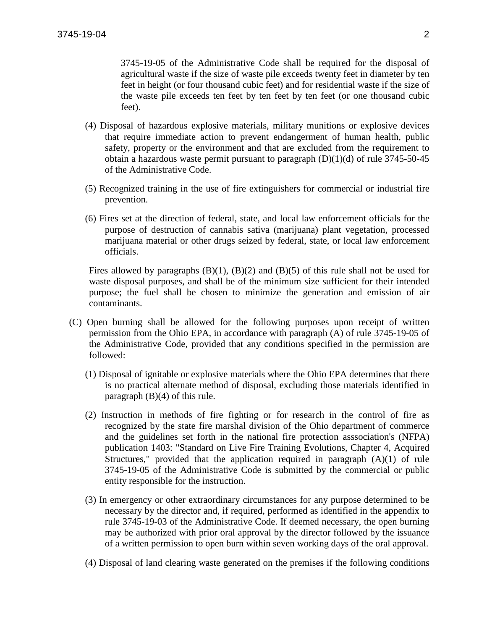3745-19-05 of the Administrative Code shall be required for the disposal of agricultural waste if the size of waste pile exceeds twenty feet in diameter by ten feet in height (or four thousand cubic feet) and for residential waste if the size of the waste pile exceeds ten feet by ten feet by ten feet (or one thousand cubic feet).

- (4) Disposal of hazardous explosive materials, military munitions or explosive devices that require immediate action to prevent endangerment of human health, public safety, property or the environment and that are excluded from the requirement to obtain a hazardous waste permit pursuant to paragraph  $(D)(1)(d)$  of rule 3745-50-45 of the Administrative Code.
- (5) Recognized training in the use of fire extinguishers for commercial or industrial fire prevention.
- (6) Fires set at the direction of federal, state, and local law enforcement officials for the purpose of destruction of cannabis sativa (marijuana) plant vegetation, processed marijuana material or other drugs seized by federal, state, or local law enforcement officials.

Fires allowed by paragraphs  $(B)(1)$ ,  $(B)(2)$  and  $(B)(5)$  of this rule shall not be used for waste disposal purposes, and shall be of the minimum size sufficient for their intended purpose; the fuel shall be chosen to minimize the generation and emission of air contaminants.

- (C) Open burning shall be allowed for the following purposes upon receipt of written permission from the Ohio EPA, in accordance with paragraph (A) of rule 3745-19-05 of the Administrative Code, provided that any conditions specified in the permission are followed:
	- (1) Disposal of ignitable or explosive materials where the Ohio EPA determines that there is no practical alternate method of disposal, excluding those materials identified in paragraph  $(B)(4)$  of this rule.
	- (2) Instruction in methods of fire fighting or for research in the control of fire as recognized by the state fire marshal division of the Ohio department of commerce and the guidelines set forth in the national fire protection asssociation's (NFPA) publication 1403: "Standard on Live Fire Training Evolutions, Chapter 4, Acquired Structures," provided that the application required in paragraph (A)(1) of rule 3745-19-05 of the Administrative Code is submitted by the commercial or public entity responsible for the instruction.
	- (3) In emergency or other extraordinary circumstances for any purpose determined to be necessary by the director and, if required, performed as identified in the appendix to rule 3745-19-03 of the Administrative Code. If deemed necessary, the open burning may be authorized with prior oral approval by the director followed by the issuance of a written permission to open burn within seven working days of the oral approval.
	- (4) Disposal of land clearing waste generated on the premises if the following conditions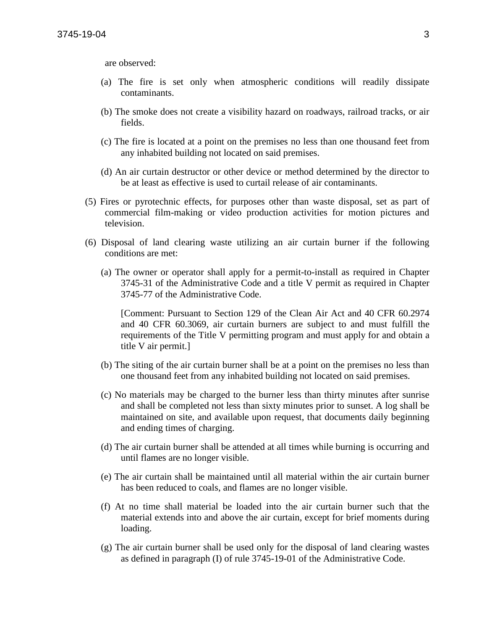are observed:

- (a) The fire is set only when atmospheric conditions will readily dissipate contaminants.
- (b) The smoke does not create a visibility hazard on roadways, railroad tracks, or air fields.
- (c) The fire is located at a point on the premises no less than one thousand feet from any inhabited building not located on said premises.
- (d) An air curtain destructor or other device or method determined by the director to be at least as effective is used to curtail release of air contaminants.
- (5) Fires or pyrotechnic effects, for purposes other than waste disposal, set as part of commercial film-making or video production activities for motion pictures and television.
- (6) Disposal of land clearing waste utilizing an air curtain burner if the following conditions are met:
	- (a) The owner or operator shall apply for a permit-to-install as required in Chapter 3745-31 of the Administrative Code and a title V permit as required in Chapter 3745-77 of the Administrative Code.

[Comment: Pursuant to Section 129 of the Clean Air Act and 40 CFR 60.2974 and 40 CFR 60.3069, air curtain burners are subject to and must fulfill the requirements of the Title V permitting program and must apply for and obtain a title V air permit.]

- (b) The siting of the air curtain burner shall be at a point on the premises no less than one thousand feet from any inhabited building not located on said premises.
- (c) No materials may be charged to the burner less than thirty minutes after sunrise and shall be completed not less than sixty minutes prior to sunset. A log shall be maintained on site, and available upon request, that documents daily beginning and ending times of charging.
- (d) The air curtain burner shall be attended at all times while burning is occurring and until flames are no longer visible.
- (e) The air curtain shall be maintained until all material within the air curtain burner has been reduced to coals, and flames are no longer visible.
- (f) At no time shall material be loaded into the air curtain burner such that the material extends into and above the air curtain, except for brief moments during loading.
- (g) The air curtain burner shall be used only for the disposal of land clearing wastes as defined in paragraph (I) of rule 3745-19-01 of the Administrative Code.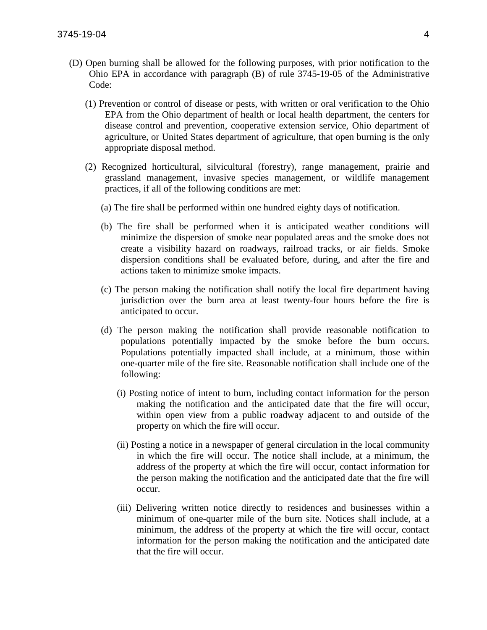- (D) Open burning shall be allowed for the following purposes, with prior notification to the Ohio EPA in accordance with paragraph (B) of rule 3745-19-05 of the Administrative Code:
	- (1) Prevention or control of disease or pests, with written or oral verification to the Ohio EPA from the Ohio department of health or local health department, the centers for disease control and prevention, cooperative extension service, Ohio department of agriculture, or United States department of agriculture, that open burning is the only appropriate disposal method.
	- (2) Recognized horticultural, silvicultural (forestry), range management, prairie and grassland management, invasive species management, or wildlife management practices, if all of the following conditions are met:
		- (a) The fire shall be performed within one hundred eighty days of notification.
		- (b) The fire shall be performed when it is anticipated weather conditions will minimize the dispersion of smoke near populated areas and the smoke does not create a visibility hazard on roadways, railroad tracks, or air fields. Smoke dispersion conditions shall be evaluated before, during, and after the fire and actions taken to minimize smoke impacts.
		- (c) The person making the notification shall notify the local fire department having jurisdiction over the burn area at least twenty-four hours before the fire is anticipated to occur.
		- (d) The person making the notification shall provide reasonable notification to populations potentially impacted by the smoke before the burn occurs. Populations potentially impacted shall include, at a minimum, those within one-quarter mile of the fire site. Reasonable notification shall include one of the following:
			- (i) Posting notice of intent to burn, including contact information for the person making the notification and the anticipated date that the fire will occur, within open view from a public roadway adjacent to and outside of the property on which the fire will occur.
			- (ii) Posting a notice in a newspaper of general circulation in the local community in which the fire will occur. The notice shall include, at a minimum, the address of the property at which the fire will occur, contact information for the person making the notification and the anticipated date that the fire will occur.
			- (iii) Delivering written notice directly to residences and businesses within a minimum of one-quarter mile of the burn site. Notices shall include, at a minimum, the address of the property at which the fire will occur, contact information for the person making the notification and the anticipated date that the fire will occur.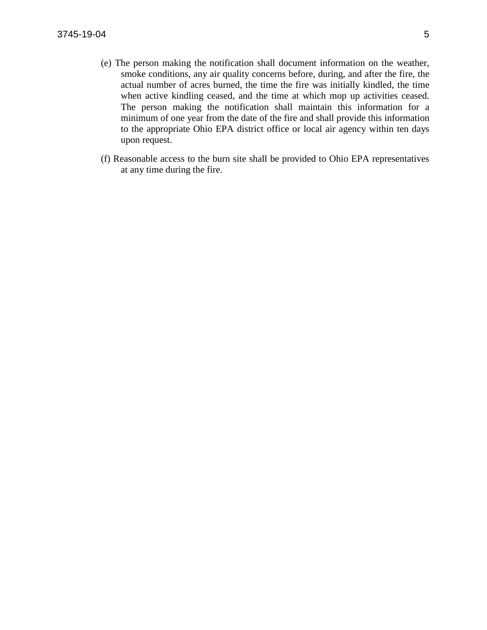- (e) The person making the notification shall document information on the weather, smoke conditions, any air quality concerns before, during, and after the fire, the actual number of acres burned, the time the fire was initially kindled, the time when active kindling ceased, and the time at which mop up activities ceased. The person making the notification shall maintain this information for a minimum of one year from the date of the fire and shall provide this information to the appropriate Ohio EPA district office or local air agency within ten days upon request.
- (f) Reasonable access to the burn site shall be provided to Ohio EPA representatives at any time during the fire.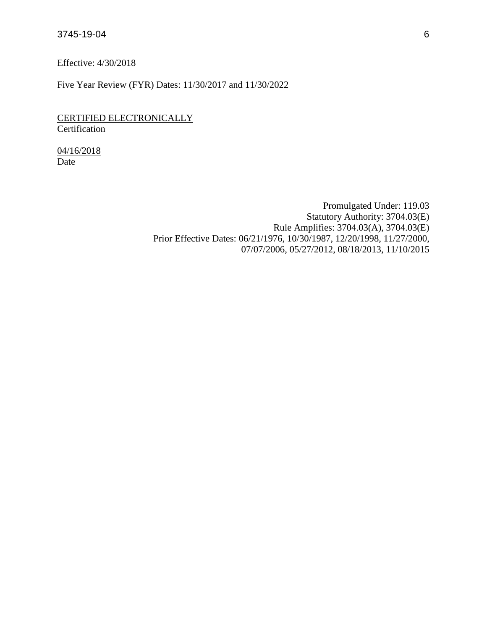Effective: 4/30/2018

Five Year Review (FYR) Dates: 11/30/2017 and 11/30/2022

### CERTIFIED ELECTRONICALLY **Certification**

04/16/2018 Date

> Promulgated Under: 119.03 Statutory Authority: 3704.03(E) Rule Amplifies: 3704.03(A), 3704.03(E) Prior Effective Dates: 06/21/1976, 10/30/1987, 12/20/1998, 11/27/2000, 07/07/2006, 05/27/2012, 08/18/2013, 11/10/2015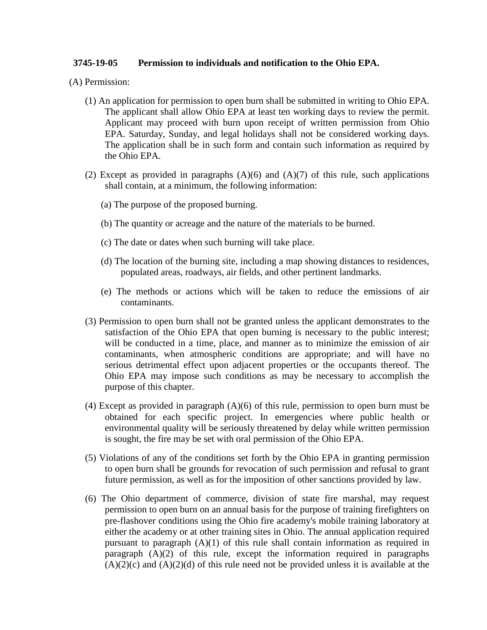### **3745-19-05 Permission to individuals and notification to the Ohio EPA.**

(A) Permission:

- (1) An application for permission to open burn shall be submitted in writing to Ohio EPA. The applicant shall allow Ohio EPA at least ten working days to review the permit. Applicant may proceed with burn upon receipt of written permission from Ohio EPA. Saturday, Sunday, and legal holidays shall not be considered working days. The application shall be in such form and contain such information as required by the Ohio EPA.
- (2) Except as provided in paragraphs  $(A)(6)$  and  $(A)(7)$  of this rule, such applications shall contain, at a minimum, the following information:
	- (a) The purpose of the proposed burning.
	- (b) The quantity or acreage and the nature of the materials to be burned.
	- (c) The date or dates when such burning will take place.
	- (d) The location of the burning site, including a map showing distances to residences, populated areas, roadways, air fields, and other pertinent landmarks.
	- (e) The methods or actions which will be taken to reduce the emissions of air contaminants.
- (3) Permission to open burn shall not be granted unless the applicant demonstrates to the satisfaction of the Ohio EPA that open burning is necessary to the public interest; will be conducted in a time, place, and manner as to minimize the emission of air contaminants, when atmospheric conditions are appropriate; and will have no serious detrimental effect upon adjacent properties or the occupants thereof. The Ohio EPA may impose such conditions as may be necessary to accomplish the purpose of this chapter.
- (4) Except as provided in paragraph (A)(6) of this rule, permission to open burn must be obtained for each specific project. In emergencies where public health or environmental quality will be seriously threatened by delay while written permission is sought, the fire may be set with oral permission of the Ohio EPA.
- (5) Violations of any of the conditions set forth by the Ohio EPA in granting permission to open burn shall be grounds for revocation of such permission and refusal to grant future permission, as well as for the imposition of other sanctions provided by law.
- (6) The Ohio department of commerce, division of state fire marshal, may request permission to open burn on an annual basis for the purpose of training firefighters on pre-flashover conditions using the Ohio fire academy's mobile training laboratory at either the academy or at other training sites in Ohio. The annual application required pursuant to paragraph (A)(1) of this rule shall contain information as required in paragraph  $(A)(2)$  of this rule, except the information required in paragraphs  $(A)(2)(c)$  and  $(A)(2)(d)$  of this rule need not be provided unless it is available at the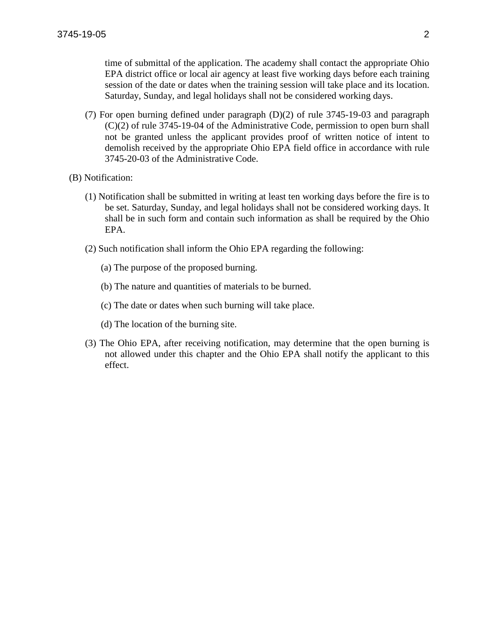time of submittal of the application. The academy shall contact the appropriate Ohio EPA district office or local air agency at least five working days before each training session of the date or dates when the training session will take place and its location. Saturday, Sunday, and legal holidays shall not be considered working days.

- (7) For open burning defined under paragraph (D)(2) of rule 3745-19-03 and paragraph (C)(2) of rule 3745-19-04 of the Administrative Code, permission to open burn shall not be granted unless the applicant provides proof of written notice of intent to demolish received by the appropriate Ohio EPA field office in accordance with rule 3745-20-03 of the Administrative Code.
- (B) Notification:
	- (1) Notification shall be submitted in writing at least ten working days before the fire is to be set. Saturday, Sunday, and legal holidays shall not be considered working days. It shall be in such form and contain such information as shall be required by the Ohio EPA.
	- (2) Such notification shall inform the Ohio EPA regarding the following:
		- (a) The purpose of the proposed burning.
		- (b) The nature and quantities of materials to be burned.
		- (c) The date or dates when such burning will take place.
		- (d) The location of the burning site.
	- (3) The Ohio EPA, after receiving notification, may determine that the open burning is not allowed under this chapter and the Ohio EPA shall notify the applicant to this effect.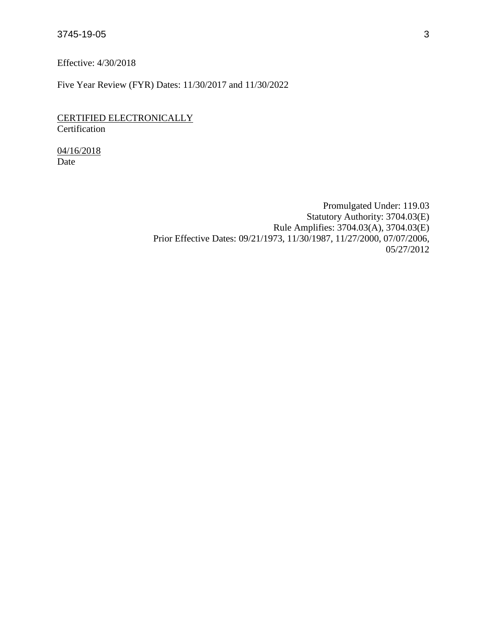Effective: 4/30/2018

Five Year Review (FYR) Dates: 11/30/2017 and 11/30/2022

CERTIFIED ELECTRONICALLY **Certification** 

04/16/2018 Date

> Promulgated Under: 119.03 Statutory Authority: 3704.03(E) Rule Amplifies: 3704.03(A), 3704.03(E) Prior Effective Dates: 09/21/1973, 11/30/1987, 11/27/2000, 07/07/2006, 05/27/2012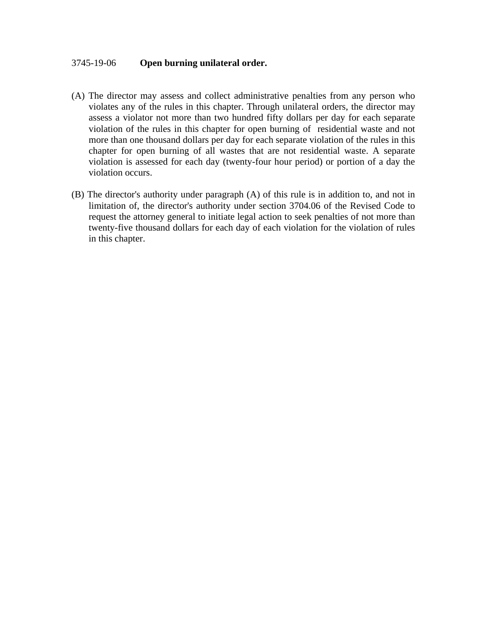### 3745-19-06 **Open burning unilateral order.**

- (A) The director may assess and collect administrative penalties from any person who violates any of the rules in this chapter. Through unilateral orders, the director may assess a violator not more than two hundred fifty dollars per day for each separate violation of the rules in this chapter for open burning of residential waste and not more than one thousand dollars per day for each separate violation of the rules in this chapter for open burning of all wastes that are not residential waste. A separate violation is assessed for each day (twenty-four hour period) or portion of a day the violation occurs.
- (B) The director's authority under paragraph (A) of this rule is in addition to, and not in limitation of, the director's authority under section 3704.06 of the Revised Code to request the attorney general to initiate legal action to seek penalties of not more than twenty-five thousand dollars for each day of each violation for the violation of rules in this chapter.